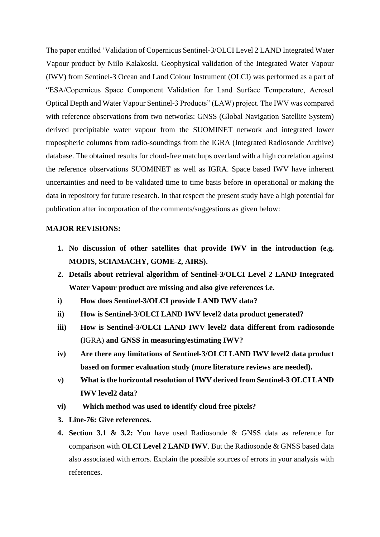The paper entitled 'Validation of Copernicus Sentinel-3/OLCI Level 2 LAND Integrated Water Vapour product by Niilo Kalakoski. Geophysical validation of the Integrated Water Vapour (IWV) from Sentinel-3 Ocean and Land Colour Instrument (OLCI) was performed as a part of "ESA/Copernicus Space Component Validation for Land Surface Temperature, Aerosol Optical Depth and Water Vapour Sentinel-3 Products" (LAW) project. The IWV was compared with reference observations from two networks: GNSS (Global Navigation Satellite System) derived precipitable water vapour from the SUOMINET network and integrated lower tropospheric columns from radio-soundings from the IGRA (Integrated Radiosonde Archive) database. The obtained results for cloud-free matchups overland with a high correlation against the reference observations SUOMINET as well as IGRA. Space based IWV have inherent uncertainties and need to be validated time to time basis before in operational or making the data in repository for future research. In that respect the present study have a high potential for publication after incorporation of the comments/suggestions as given below:

## **MAJOR REVISIONS:**

- **1. No discussion of other satellites that provide IWV in the introduction (e.g. MODIS, SCIAMACHY, GOME-2, AIRS).**
- **2. Details about retrieval algorithm of Sentinel-3/OLCI Level 2 LAND Integrated Water Vapour product are missing and also give references i.e.**
- **i) How does Sentinel-3/OLCI provide LAND IWV data?**
- **ii) How is Sentinel-3/OLCI LAND IWV level2 data product generated?**
- **iii) How is Sentinel-3/OLCI LAND IWV level2 data different from radiosonde (**IGRA) **and GNSS in measuring/estimating IWV?**
- **iv) Are there any limitations of Sentinel-3/OLCI LAND IWV level2 data product based on former evaluation study (more literature reviews are needed).**
- **v) What is the horizontal resolution of IWV derived from Sentinel-3 OLCI LAND IWV level2 data?**
- **vi) Which method was used to identify cloud free pixels?**
- **3. Line-76: Give references.**
- **4. Section 3.1 & 3.2:** You have used Radiosonde & GNSS data as reference for comparison with **OLCI Level 2 LAND IWV**. But the Radiosonde & GNSS based data also associated with errors. Explain the possible sources of errors in your analysis with references.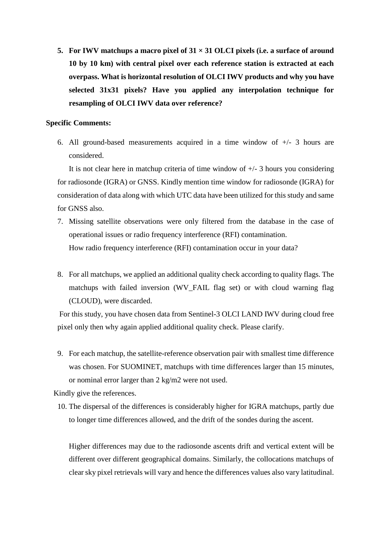**5. For IWV matchups a macro pixel of 31 × 31 OLCI pixels (i.e. a surface of around 10 by 10 km) with central pixel over each reference station is extracted at each overpass. What is horizontal resolution of OLCI IWV products and why you have selected 31x31 pixels? Have you applied any interpolation technique for resampling of OLCI IWV data over reference?**

## **Specific Comments:**

6. All ground-based measurements acquired in a time window of  $+/- 3$  hours are considered.

It is not clear here in matchup criteria of time window of  $+/- 3$  hours you considering for radiosonde (IGRA) or GNSS. Kindly mention time window for radiosonde (IGRA) for consideration of data along with which UTC data have been utilized for this study and same for GNSS also.

- 7. Missing satellite observations were only filtered from the database in the case of operational issues or radio frequency interference (RFI) contamination. How radio frequency interference (RFI) contamination occur in your data?
- 8. For all matchups, we applied an additional quality check according to quality flags. The matchups with failed inversion (WV\_FAIL flag set) or with cloud warning flag (CLOUD), were discarded.

For this study, you have chosen data from Sentinel-3 OLCI LAND IWV during cloud free pixel only then why again applied additional quality check. Please clarify.

9. For each matchup, the satellite-reference observation pair with smallest time difference was chosen. For SUOMINET, matchups with time differences larger than 15 minutes, or nominal error larger than 2 kg/m2 were not used.

Kindly give the references.

10. The dispersal of the differences is considerably higher for IGRA matchups, partly due to longer time differences allowed, and the drift of the sondes during the ascent.

Higher differences may due to the radiosonde ascents drift and vertical extent will be different over different geographical domains. Similarly, the collocations matchups of clear sky pixel retrievals will vary and hence the differences values also vary latitudinal.